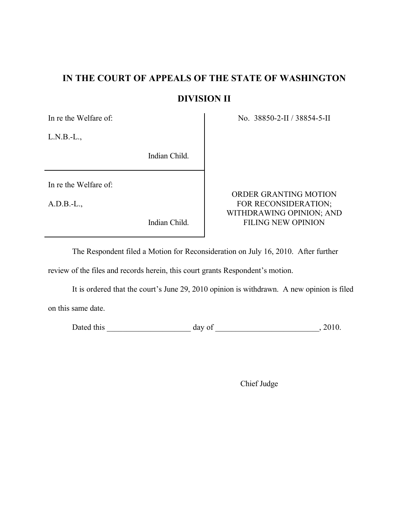# **IN THE COURT OF APPEALS OF THE STATE OF WASHINGTON**

# **DIVISION II**

L.N.B.-L.,

Indian Child.

In re the Welfare of:

In re the Welfare of: No. 38850-2-II / 38854-5-II

ORDER GRANTING MOTION A.D.B.-L., FOR RECONSIDERATION; WITHDRAWING OPINION; AND Indian Child. FILING NEW OPINION

The Respondent filed a Motion for Reconsideration on July 16, 2010. After further

review of the files and records herein, this court grants Respondent's motion.

It is ordered that the court's June 29, 2010 opinion is withdrawn. A new opinion is filed on this same date.

Dated this \_\_\_\_\_\_\_\_\_\_\_\_\_\_\_\_\_\_\_\_\_ day of \_\_\_\_\_\_\_\_\_\_\_\_\_\_\_\_\_\_\_\_\_\_\_\_\_\_, 2010.

Chief Judge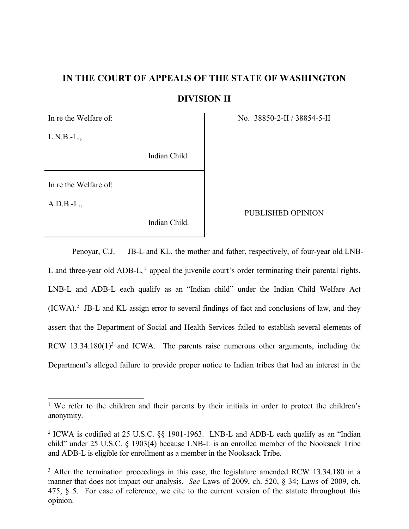# **IN THE COURT OF APPEALS OF THE STATE OF WASHINGTON DIVISION II**

 $L.N.B.-L.$ 

Indian Child.

In re the Welfare of:

A.D.B.-L.,

Indian Child.

In re the Welfare of: No. 38850-2-II / 38854-5-II

# PUBLISHED OPINION

Penoyar, C.J. — JB-L and KL, the mother and father, respectively, of four-year old LNB-L and three-year old ADB-L, <sup>1</sup> appeal the juvenile court's order terminating their parental rights. LNB-L and ADB-L each qualify as an "Indian child" under the Indian Child Welfare Act  $(ICWA).<sup>2</sup>$  JB-L and KL assign error to several findings of fact and conclusions of law, and they assert that the Department of Social and Health Services failed to establish several elements of RCW  $13.34.180(1)^3$  and ICWA. The parents raise numerous other arguments, including the Department's alleged failure to provide proper notice to Indian tribes that had an interest in the

<sup>&</sup>lt;sup>1</sup> We refer to the children and their parents by their initials in order to protect the children's anonymity.

<sup>&</sup>lt;sup>2</sup> ICWA is codified at 25 U.S.C.  $\S$  1901-1963. LNB-L and ADB-L each qualify as an "Indian" child" under 25 U.S.C. § 1903(4) because LNB-L is an enrolled member of the Nooksack Tribe and ADB-L is eligible for enrollment as a member in the Nooksack Tribe.

<sup>&</sup>lt;sup>3</sup> After the termination proceedings in this case, the legislature amended RCW 13.34.180 in a manner that does not impact our analysis. *See* Laws of 2009, ch. 520, § 34; Laws of 2009, ch. 475, § 5. For ease of reference, we cite to the current version of the statute throughout this opinion.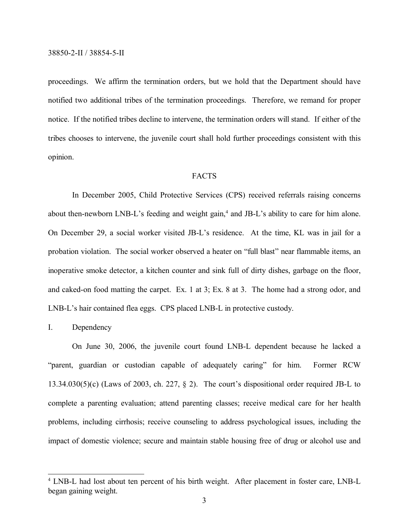proceedings. We affirm the termination orders, but we hold that the Department should have notified two additional tribes of the termination proceedings. Therefore, we remand for proper notice. If the notified tribes decline to intervene, the termination orders will stand. If either of the tribes chooses to intervene, the juvenile court shall hold further proceedings consistent with this opinion.

#### FACTS

In December 2005, Child Protective Services (CPS) received referrals raising concerns about then-newborn LNB-L's feeding and weight gain,<sup>4</sup> and JB-L's ability to care for him alone. On December 29, a social worker visited JB-L's residence. At the time, KL was in jail for a probation violation. The social worker observed a heater on "full blast" near flammable items, an inoperative smoke detector, a kitchen counter and sink full of dirty dishes, garbage on the floor, and caked-on food matting the carpet. Ex. 1 at 3; Ex. 8 at 3. The home had a strong odor, and LNB-L's hair contained flea eggs. CPS placed LNB-L in protective custody.

### I. Dependency

On June 30, 2006, the juvenile court found LNB-L dependent because he lacked a "parent, guardian or custodian capable of adequately caring" for him. Former RCW 13.34.030(5)(c) (Laws of 2003, ch. 227, § 2). The court's dispositional order required JB-L to complete a parenting evaluation; attend parenting classes; receive medical care for her health problems, including cirrhosis; receive counseling to address psychological issues, including the impact of domestic violence; secure and maintain stable housing free of drug or alcohol use and

<sup>&</sup>lt;sup>4</sup> LNB-L had lost about ten percent of his birth weight. After placement in foster care, LNB-L began gaining weight.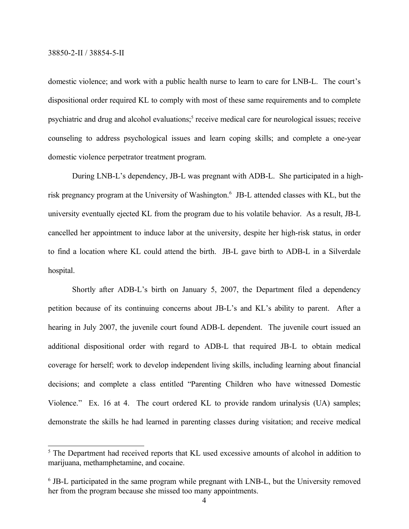domestic violence; and work with a public health nurse to learn to care for LNB-L. The court's dispositional order required KL to comply with most of these same requirements and to complete psychiatric and drug and alcohol evaluations;<sup>5</sup> receive medical care for neurological issues; receive counseling to address psychological issues and learn coping skills; and complete a one-year domestic violence perpetrator treatment program.

During LNB-L's dependency, JB-L was pregnant with ADB-L. She participated in a highrisk pregnancy program at the University of Washington.<sup>6</sup> JB-L attended classes with KL, but the university eventually ejected KL from the program due to his volatile behavior. As a result, JB-L cancelled her appointment to induce labor at the university, despite her high-risk status, in order to find a location where KL could attend the birth. JB-L gave birth to ADB-L in a Silverdale hospital.

Shortly after ADB-L's birth on January 5, 2007, the Department filed a dependency petition because of its continuing concerns about JB-L's and KL's ability to parent. After a hearing in July 2007, the juvenile court found ADB-L dependent. The juvenile court issued an additional dispositional order with regard to ADB-L that required JB-L to obtain medical coverage for herself; work to develop independent living skills, including learning about financial decisions; and complete a class entitled "Parenting Children who have witnessed Domestic Violence." Ex. 16 at 4. The court ordered KL to provide random urinalysis (UA) samples; demonstrate the skills he had learned in parenting classes during visitation; and receive medical

<sup>&</sup>lt;sup>5</sup> The Department had received reports that KL used excessive amounts of alcohol in addition to marijuana, methamphetamine, and cocaine.

<sup>&</sup>lt;sup>6</sup> JB-L participated in the same program while pregnant with LNB-L, but the University removed her from the program because she missed too many appointments.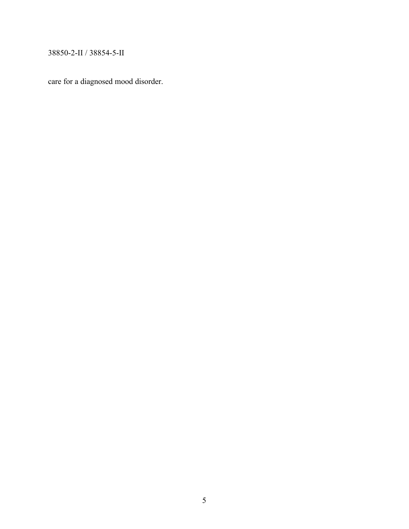care for a diagnosed mood disorder.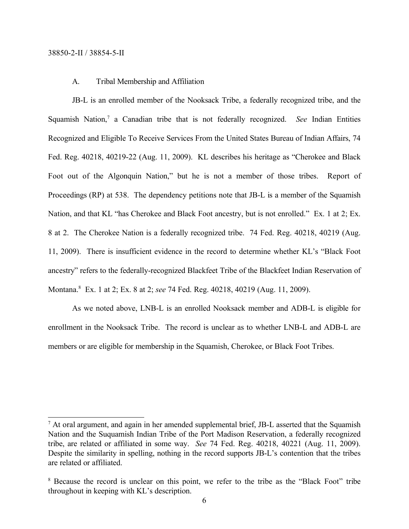#### A. Tribal Membership and Affiliation

JB-L is an enrolled member of the Nooksack Tribe, a federally recognized tribe, and the Squamish Nation,<sup>7</sup> a Canadian tribe that is not federally recognized. See Indian Entities Recognized and Eligible To Receive Services From the United States Bureau of Indian Affairs, 74 Fed. Reg. 40218, 40219-22 (Aug. 11, 2009). KL describes his heritage as "Cherokee and Black Foot out of the Algonquin Nation," but he is not a member of those tribes. Report of Proceedings (RP) at 538. The dependency petitions note that JB-L is a member of the Squamish Nation, and that KL "has Cherokee and Black Foot ancestry, but is not enrolled." Ex. 1 at 2; Ex. 8 at 2. The Cherokee Nation is a federally recognized tribe. 74 Fed. Reg. 40218, 40219 (Aug. 11, 2009). There is insufficient evidence in the record to determine whether KL's "Black Foot ancestry" refers to the federally-recognized Blackfeet Tribe of the Blackfeet Indian Reservation of Montana.<sup>8</sup> Ex. 1 at 2; Ex. 8 at 2; *see* 74 Fed. Reg. 40218, 40219 (Aug. 11, 2009).

As we noted above, LNB-L is an enrolled Nooksack member and ADB-L is eligible for enrollment in the Nooksack Tribe. The record is unclear as to whether LNB-L and ADB-L are members or are eligible for membership in the Squamish, Cherokee, or Black Foot Tribes.

<sup>7</sup> At oral argument, and again in her amended supplemental brief, JB-L asserted that the Squamish Nation and the Suquamish Indian Tribe of the Port Madison Reservation, a federally recognized tribe, are related or affiliated in some way. *See* 74 Fed. Reg. 40218, 40221 (Aug. 11, 2009). Despite the similarity in spelling, nothing in the record supports JB-L's contention that the tribes are related or affiliated.

<sup>&</sup>lt;sup>8</sup> Because the record is unclear on this point, we refer to the tribe as the "Black Foot" tribe throughout in keeping with KL's description.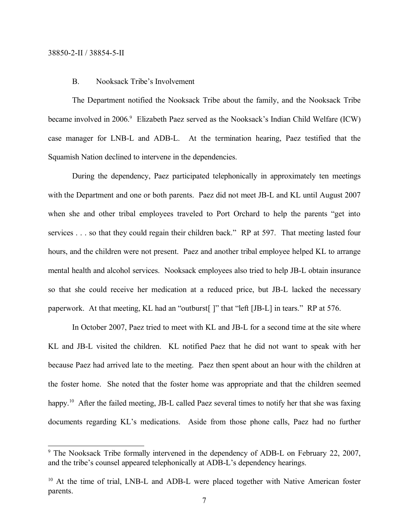### B. Nooksack Tribe's Involvement

The Department notified the Nooksack Tribe about the family, and the Nooksack Tribe became involved in 2006.<sup>9</sup> Elizabeth Paez served as the Nooksack's Indian Child Welfare (ICW) case manager for LNB-L and ADB-L. At the termination hearing, Paez testified that the Squamish Nation declined to intervene in the dependencies.

During the dependency, Paez participated telephonically in approximately ten meetings with the Department and one or both parents. Paez did not meet JB-L and KL until August 2007 when she and other tribal employees traveled to Port Orchard to help the parents "get into services . . . so that they could regain their children back." RP at 597. That meeting lasted four hours, and the children were not present. Paez and another tribal employee helped KL to arrange mental health and alcohol services. Nooksack employees also tried to help JB-L obtain insurance so that she could receive her medication at a reduced price, but JB-L lacked the necessary paperwork. At that meeting, KL had an "outburst[ ]" that "left [JB-L] in tears." RP at 576.

In October 2007, Paez tried to meet with KL and JB-L for a second time at the site where KL and JB-L visited the children. KL notified Paez that he did not want to speak with her because Paez had arrived late to the meeting. Paez then spent about an hour with the children at the foster home. She noted that the foster home was appropriate and that the children seemed happy.<sup>10</sup> After the failed meeting, JB-L called Paez several times to notify her that she was faxing documents regarding KL's medications. Aside from those phone calls, Paez had no further

<sup>&</sup>lt;sup>9</sup> The Nooksack Tribe formally intervened in the dependency of ADB-L on February 22, 2007, and the tribe's counsel appeared telephonically at ADB-L's dependency hearings.

<sup>&</sup>lt;sup>10</sup> At the time of trial, LNB-L and ADB-L were placed together with Native American foster parents.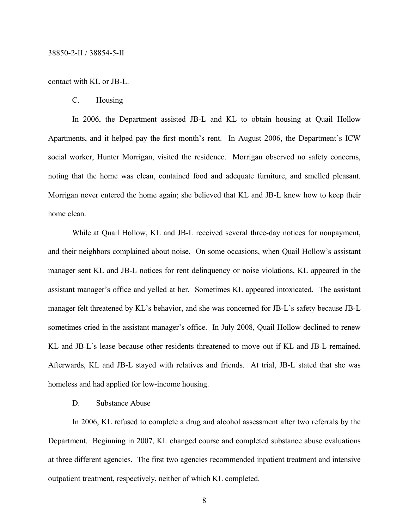#### contact with KL or JB-L.

C. Housing

In 2006, the Department assisted JB-L and KL to obtain housing at Quail Hollow Apartments, and it helped pay the first month's rent. In August 2006, the Department's ICW social worker, Hunter Morrigan, visited the residence. Morrigan observed no safety concerns, noting that the home was clean, contained food and adequate furniture, and smelled pleasant. Morrigan never entered the home again; she believed that KL and JB-L knew how to keep their home clean.

While at Quail Hollow, KL and JB-L received several three-day notices for nonpayment, and their neighbors complained about noise. On some occasions, when Quail Hollow's assistant manager sent KL and JB-L notices for rent delinquency or noise violations, KL appeared in the assistant manager's office and yelled at her. Sometimes KL appeared intoxicated. The assistant manager felt threatened by KL's behavior, and she was concerned for JB-L's safety because JB-L sometimes cried in the assistant manager's office. In July 2008, Quail Hollow declined to renew KL and JB-L's lease because other residents threatened to move out if KL and JB-L remained. Afterwards, KL and JB-L stayed with relatives and friends. At trial, JB-L stated that she was homeless and had applied for low-income housing.

# D. Substance Abuse

In 2006, KL refused to complete a drug and alcohol assessment after two referrals by the Department. Beginning in 2007, KL changed course and completed substance abuse evaluations at three different agencies. The first two agencies recommended inpatient treatment and intensive outpatient treatment, respectively, neither of which KL completed.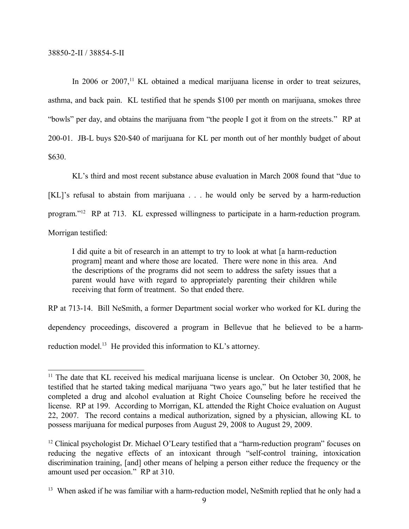In 2006 or 2007,<sup>11</sup> KL obtained a medical marijuana license in order to treat seizures, asthma, and back pain. KL testified that he spends \$100 per month on marijuana, smokes three "bowls" per day, and obtains the marijuana from "the people I got it from on the streets." RP at 200-01. JB-L buys \$20-\$40 of marijuana for KL per month out of her monthly budget of about \$630.

KL's third and most recent substance abuse evaluation in March 2008 found that "due to [KL]'s refusal to abstain from marijuana . . . he would only be served by a harm-reduction program." <sup>12</sup> RP at 713. KL expressed willingness to participate in a harm-reduction program.

Morrigan testified:

I did quite a bit of research in an attempt to try to look at what [a harm-reduction program] meant and where those are located. There were none in this area. And the descriptions of the programs did not seem to address the safety issues that a parent would have with regard to appropriately parenting their children while receiving that form of treatment. So that ended there.

RP at 713-14. Bill NeSmith, a former Department social worker who worked for KL during the dependency proceedings, discovered a program in Bellevue that he believed to be a harmreduction model.<sup>13</sup> He provided this information to KL's attorney.

<sup>&</sup>lt;sup>11</sup> The date that KL received his medical marijuana license is unclear. On October 30, 2008, he testified that he started taking medical marijuana "two years ago," but he later testified that he completed a drug and alcohol evaluation at Right Choice Counseling before he received the license. RP at 199. According to Morrigan, KL attended the Right Choice evaluation on August 22, 2007. The record contains a medical authorization, signed by a physician, allowing KL to possess marijuana for medical purposes from August 29, 2008 to August 29, 2009.

<sup>&</sup>lt;sup>12</sup> Clinical psychologist Dr. Michael O'Leary testified that a "harm-reduction program" focuses on reducing the negative effects of an intoxicant through "self-control training, intoxication discrimination training, [and] other means of helping a person either reduce the frequency or the amount used per occasion." RP at 310.

<sup>&</sup>lt;sup>13</sup> When asked if he was familiar with a harm-reduction model, NeSmith replied that he only had a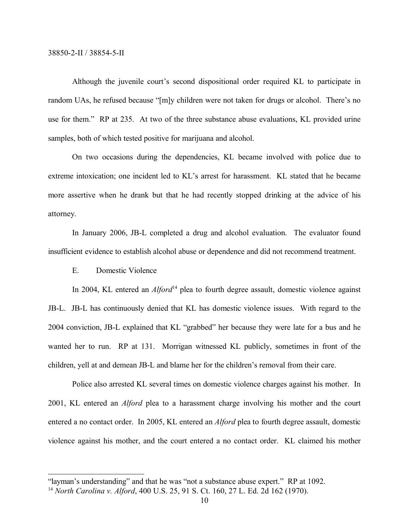Although the juvenile court's second dispositional order required KL to participate in random UAs, he refused because "[m]y children were not taken for drugs or alcohol. There's no use for them." RP at 235. At two of the three substance abuse evaluations, KL provided urine samples, both of which tested positive for marijuana and alcohol.

On two occasions during the dependencies, KL became involved with police due to extreme intoxication; one incident led to KL's arrest for harassment. KL stated that he became more assertive when he drank but that he had recently stopped drinking at the advice of his attorney.

In January 2006, JB-L completed a drug and alcohol evaluation. The evaluator found insufficient evidence to establish alcohol abuse or dependence and did not recommend treatment.

E. Domestic Violence

In 2004, KL entered an *Alford*<sup>14</sup> plea to fourth degree assault, domestic violence against JB-L. JB-L has continuously denied that KL has domestic violence issues. With regard to the 2004 conviction, JB-L explained that KL "grabbed" her because they were late for a bus and he wanted her to run. RP at 131. Morrigan witnessed KL publicly, sometimes in front of the children, yell at and demean JB-L and blame her for the children's removal from their care.

Police also arrested KL several times on domestic violence charges against his mother. In 2001, KL entered an *Alford* plea to a harassment charge involving his mother and the court entered a no contact order. In 2005, KL entered an *Alford* plea to fourth degree assault, domestic violence against his mother, and the court entered a no contact order. KL claimed his mother

<sup>&</sup>quot;layman's understanding" and that he was "not a substance abuse expert." RP at 1092.

<sup>14</sup> *North Carolina v. Alford*, 400 U.S. 25, 91 S. Ct. 160, 27 L. Ed. 2d 162 (1970).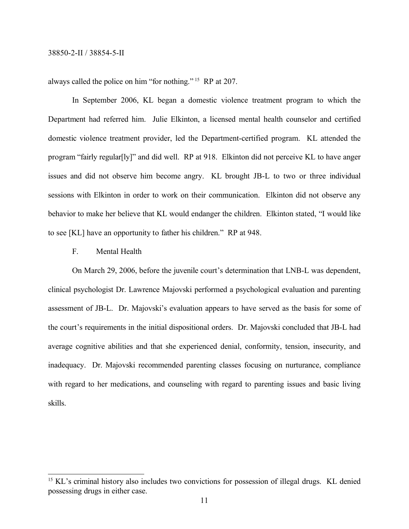always called the police on him "for nothing." <sup>15</sup> RP at 207.

In September 2006, KL began a domestic violence treatment program to which the Department had referred him. Julie Elkinton, a licensed mental health counselor and certified domestic violence treatment provider, led the Department-certified program. KL attended the program "fairly regular[ly]" and did well. RP at 918. Elkinton did not perceive KL to have anger issues and did not observe him become angry. KL brought JB-L to two or three individual sessions with Elkinton in order to work on their communication. Elkinton did not observe any behavior to make her believe that KL would endanger the children. Elkinton stated, "I would like to see [KL] have an opportunity to father his children." RP at 948.

# F. Mental Health

On March 29, 2006, before the juvenile court's determination that LNB-L was dependent, clinical psychologist Dr. Lawrence Majovski performed a psychological evaluation and parenting assessment of JB-L. Dr. Majovski's evaluation appears to have served as the basis for some of the court's requirements in the initial dispositional orders. Dr. Majovski concluded that JB-L had average cognitive abilities and that she experienced denial, conformity, tension, insecurity, and inadequacy. Dr. Majovski recommended parenting classes focusing on nurturance, compliance with regard to her medications, and counseling with regard to parenting issues and basic living skills.

<sup>&</sup>lt;sup>15</sup> KL's criminal history also includes two convictions for possession of illegal drugs. KL denied possessing drugs in either case.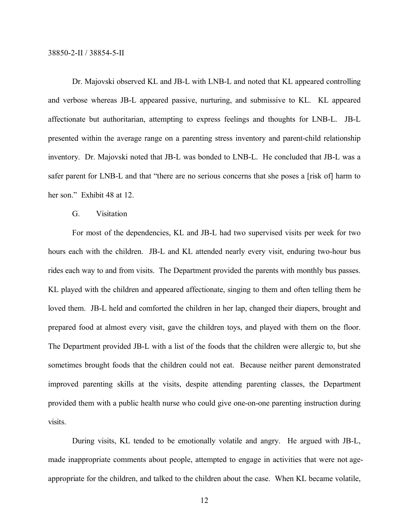Dr. Majovski observed KL and JB-L with LNB-L and noted that KL appeared controlling and verbose whereas JB-L appeared passive, nurturing, and submissive to KL. KL appeared affectionate but authoritarian, attempting to express feelings and thoughts for LNB-L. JB-L presented within the average range on a parenting stress inventory and parent-child relationship inventory. Dr. Majovski noted that JB-L was bonded to LNB-L. He concluded that JB-L was a safer parent for LNB-L and that "there are no serious concerns that she poses a [risk of] harm to her son." Exhibit 48 at 12.

#### G. Visitation

For most of the dependencies, KL and JB-L had two supervised visits per week for two hours each with the children. JB-L and KL attended nearly every visit, enduring two-hour bus rides each way to and from visits. The Department provided the parents with monthly bus passes. KL played with the children and appeared affectionate, singing to them and often telling them he loved them. JB-L held and comforted the children in her lap, changed their diapers, brought and prepared food at almost every visit, gave the children toys, and played with them on the floor. The Department provided JB-L with a list of the foods that the children were allergic to, but she sometimes brought foods that the children could not eat. Because neither parent demonstrated improved parenting skills at the visits, despite attending parenting classes, the Department provided them with a public health nurse who could give one-on-one parenting instruction during visits.

During visits, KL tended to be emotionally volatile and angry. He argued with JB-L, made inappropriate comments about people, attempted to engage in activities that were not ageappropriate for the children, and talked to the children about the case. When KL became volatile,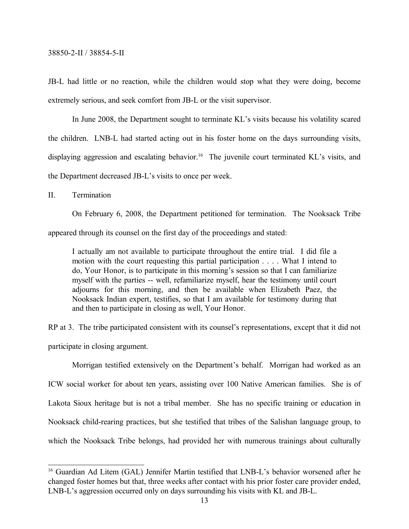JB-L had little or no reaction, while the children would stop what they were doing, become extremely serious, and seek comfort from JB-L or the visit supervisor.

In June 2008, the Department sought to terminate KL's visits because his volatility scared the children. LNB-L had started acting out in his foster home on the days surrounding visits, displaying aggression and escalating behavior.<sup>16</sup> The juvenile court terminated KL's visits, and the Department decreased JB-L's visits to once per week.

II. Termination

On February 6, 2008, the Department petitioned for termination. The Nooksack Tribe

appeared through its counsel on the first day of the proceedings and stated:

I actually am not available to participate throughout the entire trial. I did file a motion with the court requesting this partial participation . . . . What I intend to do, Your Honor, is to participate in this morning's session so that I can familiarize myself with the parties -- well, refamiliarize myself, hear the testimony until court adjourns for this morning, and then be available when Elizabeth Paez, the Nooksack Indian expert, testifies, so that I am available for testimony during that and then to participate in closing as well, Your Honor.

RP at 3. The tribe participated consistent with its counsel's representations, except that it did not participate in closing argument.

Morrigan testified extensively on the Department's behalf. Morrigan had worked as an ICW social worker for about ten years, assisting over 100 Native American families. She is of Lakota Sioux heritage but is not a tribal member. She has no specific training or education in Nooksack child-rearing practices, but she testified that tribes of the Salishan language group, to which the Nooksack Tribe belongs, had provided her with numerous trainings about culturally

<sup>&</sup>lt;sup>16</sup> Guardian Ad Litem (GAL) Jennifer Martin testified that LNB-L's behavior worsened after he changed foster homes but that, three weeks after contact with his prior foster care provider ended, LNB-L's aggression occurred only on days surrounding his visits with KL and JB-L.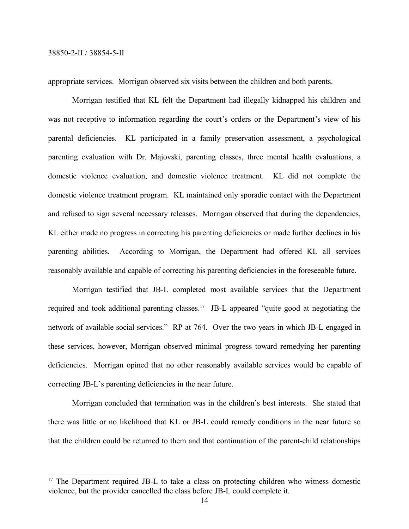appropriate services. Morrigan observed six visits between the children and both parents.

Morrigan testified that KL felt the Department had illegally kidnapped his children and was not receptive to information regarding the court's orders or the Department's view of his parental deficiencies. KL participated in a family preservation assessment, a psychological parenting evaluation with Dr. Majovski, parenting classes, three mental health evaluations, a domestic violence evaluation, and domestic violence treatment. KL did not complete the domestic violence treatment program. KL maintained only sporadic contact with the Department and refused to sign several necessary releases. Morrigan observed that during the dependencies, KL either made no progress in correcting his parenting deficiencies or made further declines in his parenting abilities. According to Morrigan, the Department had offered KL all services reasonably available and capable of correcting his parenting deficiencies in the foreseeable future.

Morrigan testified that JB-L completed most available services that the Department required and took additional parenting classes.<sup>17</sup> JB-L appeared "quite good at negotiating the network of available social services." RP at 764. Over the two years in which JB-L engaged in these services, however, Morrigan observed minimal progress toward remedying her parenting deficiencies. Morrigan opined that no other reasonably available services would be capable of correcting JB-L's parenting deficiencies in the near future.

Morrigan concluded that termination was in the children's best interests. She stated that there was little or no likelihood that KL or JB-L could remedy conditions in the near future so that the children could be returned to them and that continuation of the parent-child relationships

<sup>&</sup>lt;sup>17</sup> The Department required JB-L to take a class on protecting children who witness domestic violence, but the provider cancelled the class before JB-L could complete it.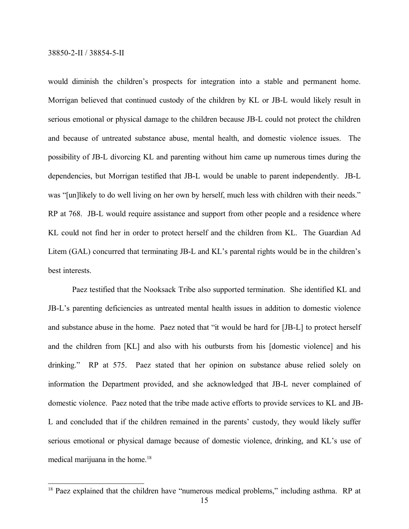would diminish the children's prospects for integration into a stable and permanent home. Morrigan believed that continued custody of the children by KL or JB-L would likely result in serious emotional or physical damage to the children because JB-L could not protect the children and because of untreated substance abuse, mental health, and domestic violence issues. The possibility of JB-L divorcing KL and parenting without him came up numerous times during the dependencies, but Morrigan testified that JB-L would be unable to parent independently. JB-L was "[un]likely to do well living on her own by herself, much less with children with their needs." RP at 768. JB-L would require assistance and support from other people and a residence where KL could not find her in order to protect herself and the children from KL. The Guardian Ad Litem (GAL) concurred that terminating JB-L and KL's parental rights would be in the children's best interests.

Paez testified that the Nooksack Tribe also supported termination. She identified KL and JB-L's parenting deficiencies as untreated mental health issues in addition to domestic violence and substance abuse in the home. Paez noted that "it would be hard for [JB-L] to protect herself and the children from [KL] and also with his outbursts from his [domestic violence] and his drinking." RP at 575. Paez stated that her opinion on substance abuse relied solely on information the Department provided, and she acknowledged that JB-L never complained of domestic violence. Paez noted that the tribe made active efforts to provide services to KL and JB-L and concluded that if the children remained in the parents' custody, they would likely suffer serious emotional or physical damage because of domestic violence, drinking, and KL's use of medical marijuana in the home.<sup>18</sup>

<sup>&</sup>lt;sup>18</sup> Paez explained that the children have "numerous medical problems," including asthma. RP at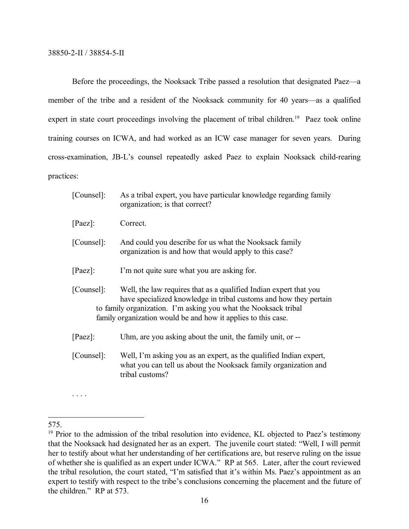Before the proceedings, the Nooksack Tribe passed a resolution that designated Paez—a member of the tribe and a resident of the Nooksack community for 40 years—as a qualified expert in state court proceedings involving the placement of tribal children.<sup>19</sup> Paez took online training courses on ICWA, and had worked as an ICW case manager for seven years. During cross-examination, JB-L's counsel repeatedly asked Paez to explain Nooksack child-rearing practices:

| [Counsel]: | As a tribal expert, you have particular knowledge regarding family<br>organization; is that correct?                                                                                                                                                                       |
|------------|----------------------------------------------------------------------------------------------------------------------------------------------------------------------------------------------------------------------------------------------------------------------------|
| $[Paez]$ : | Correct.                                                                                                                                                                                                                                                                   |
| [Counsel]: | And could you describe for us what the Nooksack family<br>organization is and how that would apply to this case?                                                                                                                                                           |
| $[Paez]$ : | I'm not quite sure what you are asking for.                                                                                                                                                                                                                                |
| [Counsel]: | Well, the law requires that as a qualified Indian expert that you<br>have specialized knowledge in tribal customs and how they pertain<br>to family organization. I'm asking you what the Nooksack tribal<br>family organization would be and how it applies to this case. |
| $[Paez]$ : | Uhm, are you asking about the unit, the family unit, or --                                                                                                                                                                                                                 |
| [Counsel]: | Well, I'm asking you as an expert, as the qualified Indian expert,<br>what you can tell us about the Nooksack family organization and<br>tribal customs?                                                                                                                   |

. . . .

<sup>575.</sup>

<sup>&</sup>lt;sup>19</sup> Prior to the admission of the tribal resolution into evidence, KL objected to Paez's testimony that the Nooksack had designated her as an expert. The juvenile court stated: "Well, I will permit her to testify about what her understanding of her certifications are, but reserve ruling on the issue of whether she is qualified as an expert under ICWA." RP at 565. Later, after the court reviewed the tribal resolution, the court stated, "I'm satisfied that it's within Ms. Paez's appointment as an expert to testify with respect to the tribe's conclusions concerning the placement and the future of the children." RP at 573.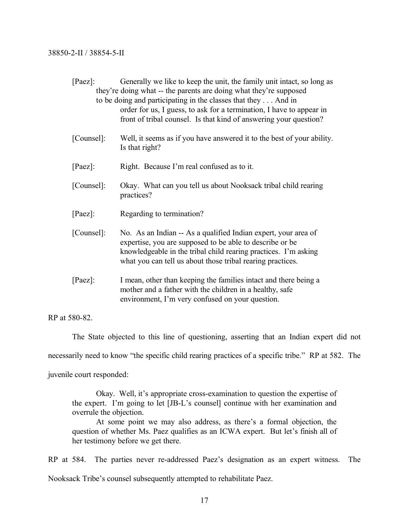| $[Paez]$ : | Generally we like to keep the unit, the family unit intact, so long as<br>they're doing what -- the parents are doing what they're supposed<br>to be doing and participating in the classes that they  And in<br>order for us, I guess, to ask for a termination, I have to appear in<br>front of tribal counsel. Is that kind of answering your question? |
|------------|------------------------------------------------------------------------------------------------------------------------------------------------------------------------------------------------------------------------------------------------------------------------------------------------------------------------------------------------------------|
| [Counsel]: | Well, it seems as if you have answered it to the best of your ability.<br>Is that right?                                                                                                                                                                                                                                                                   |
| $[Paez]$ : | Right. Because I'm real confused as to it.                                                                                                                                                                                                                                                                                                                 |
| [Counsel]: | Okay. What can you tell us about Nooksack tribal child rearing<br>practices?                                                                                                                                                                                                                                                                               |
| $[Paez]$ : | Regarding to termination?                                                                                                                                                                                                                                                                                                                                  |
| [Counsel]: | No. As an Indian -- As a qualified Indian expert, your area of<br>expertise, you are supposed to be able to describe or be<br>knowledgeable in the tribal child rearing practices. I'm asking<br>what you can tell us about those tribal rearing practices.                                                                                                |
| $[Paez]$ : | I mean, other than keeping the families intact and there being a<br>mother and a father with the children in a healthy, safe<br>environment, I'm very confused on your question.                                                                                                                                                                           |

RP at 580-82.

The State objected to this line of questioning, asserting that an Indian expert did not necessarily need to know "the specific child rearing practices of a specific tribe." RP at 582. The juvenile court responded:

Okay. Well, it's appropriate cross-examination to question the expertise of the expert. I'm going to let [JB-L's counsel] continue with her examination and overrule the objection.

At some point we may also address, as there's a formal objection, the question of whether Ms. Paez qualifies as an ICWA expert. But let's finish all of her testimony before we get there.

RP at 584. The parties never re-addressed Paez's designation as an expert witness. The Nooksack Tribe's counsel subsequently attempted to rehabilitate Paez.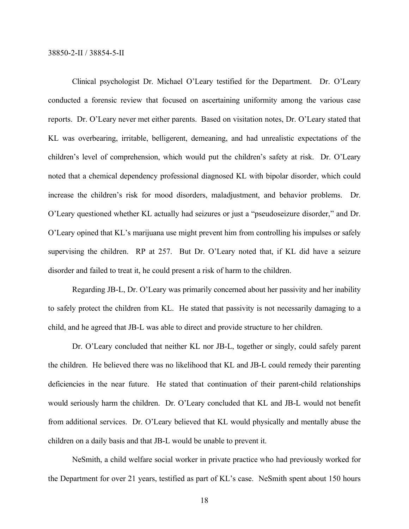Clinical psychologist Dr. Michael O'Leary testified for the Department. Dr. O'Leary conducted a forensic review that focused on ascertaining uniformity among the various case reports. Dr. O'Leary never met either parents. Based on visitation notes, Dr. O'Leary stated that KL was overbearing, irritable, belligerent, demeaning, and had unrealistic expectations of the children's level of comprehension, which would put the children's safety at risk. Dr. O'Leary noted that a chemical dependency professional diagnosed KL with bipolar disorder, which could increase the children's risk for mood disorders, maladjustment, and behavior problems. Dr. O'Leary questioned whether KL actually had seizures or just a "pseudoseizure disorder," and Dr. O'Leary opined that KL's marijuana use might prevent him from controlling his impulses or safely supervising the children. RP at 257. But Dr. O'Leary noted that, if KL did have a seizure disorder and failed to treat it, he could present a risk of harm to the children.

Regarding JB-L, Dr. O'Leary was primarily concerned about her passivity and her inability to safely protect the children from KL. He stated that passivity is not necessarily damaging to a child, and he agreed that JB-L was able to direct and provide structure to her children.

Dr. O'Leary concluded that neither KL nor JB-L, together or singly, could safely parent the children. He believed there was no likelihood that KL and JB-L could remedy their parenting deficiencies in the near future. He stated that continuation of their parent-child relationships would seriously harm the children. Dr. O'Leary concluded that KL and JB-L would not benefit from additional services. Dr. O'Leary believed that KL would physically and mentally abuse the children on a daily basis and that JB-L would be unable to prevent it.

NeSmith, a child welfare social worker in private practice who had previously worked for the Department for over 21 years, testified as part of KL's case. NeSmith spent about 150 hours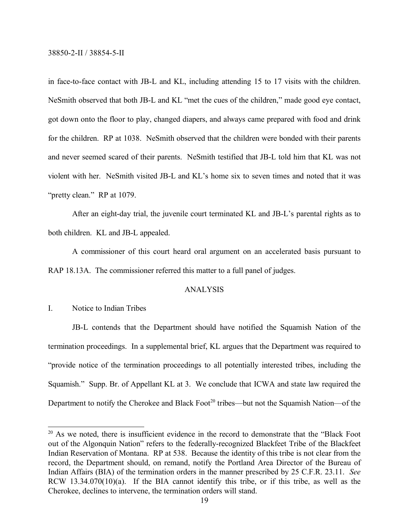in face-to-face contact with JB-L and KL, including attending 15 to 17 visits with the children. NeSmith observed that both JB-L and KL "met the cues of the children," made good eye contact, got down onto the floor to play, changed diapers, and always came prepared with food and drink for the children. RP at 1038. NeSmith observed that the children were bonded with their parents and never seemed scared of their parents. NeSmith testified that JB-L told him that KL was not violent with her. NeSmith visited JB-L and KL's home six to seven times and noted that it was "pretty clean." RP at 1079.

After an eight-day trial, the juvenile court terminated KL and JB-L's parental rights as to both children. KL and JB-L appealed.

A commissioner of this court heard oral argument on an accelerated basis pursuant to RAP 18.13A. The commissioner referred this matter to a full panel of judges.

#### ANALYSIS

# I. Notice to Indian Tribes

JB-L contends that the Department should have notified the Squamish Nation of the termination proceedings. In a supplemental brief, KL argues that the Department was required to "provide notice of the termination proceedings to all potentially interested tribes, including the Squamish." Supp. Br. of Appellant KL at 3. We conclude that ICWA and state law required the Department to notify the Cherokee and Black Foot<sup>20</sup> tribes—but not the Squamish Nation—of the

<sup>&</sup>lt;sup>20</sup> As we noted, there is insufficient evidence in the record to demonstrate that the "Black Foot out of the Algonquin Nation" refers to the federally-recognized Blackfeet Tribe of the Blackfeet Indian Reservation of Montana. RP at 538. Because the identity of this tribe is not clear from the record, the Department should, on remand, notify the Portland Area Director of the Bureau of Indian Affairs (BIA) of the termination orders in the manner prescribed by 25 C.F.R. 23.11. *See*  RCW 13.34.070(10)(a). If the BIA cannot identify this tribe, or if this tribe, as well as the Cherokee, declines to intervene, the termination orders will stand.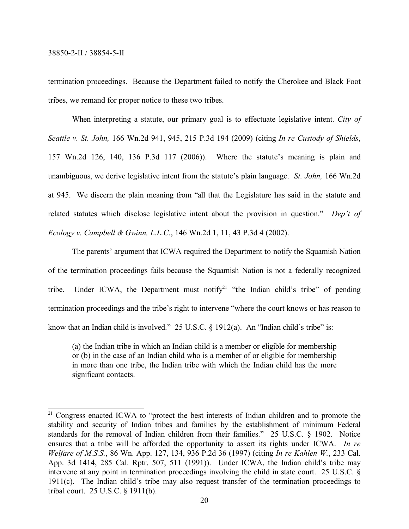termination proceedings. Because the Department failed to notify the Cherokee and Black Foot tribes, we remand for proper notice to these two tribes.

When interpreting a statute, our primary goal is to effectuate legislative intent. *City of Seattle v. St. John,* 166 Wn.2d 941, 945, 215 P.3d 194 (2009) (citing *In re Custody of Shields*, 157 Wn.2d 126, 140, 136 P.3d 117 (2006)). Where the statute's meaning is plain and unambiguous, we derive legislative intent from the statute's plain language. *St. John,* 166 Wn.2d at 945. We discern the plain meaning from "all that the Legislature has said in the statute and related statutes which disclose legislative intent about the provision in question." *Dep't of Ecology v. Campbell & Gwinn, L.L.C.*, 146 Wn.2d 1, 11, 43 P.3d 4 (2002).

The parents' argument that ICWA required the Department to notify the Squamish Nation of the termination proceedings fails because the Squamish Nation is not a federally recognized tribe. Under ICWA, the Department must notify<sup>21</sup> "the Indian child's tribe" of pending termination proceedings and the tribe's right to intervene "where the court knows or has reason to know that an Indian child is involved."  $25 \text{ U.S.C.}$  § 1912(a). An "Indian child's tribe" is:

(a) the Indian tribe in which an Indian child is a member or eligible for membership or (b) in the case of an Indian child who is a member of or eligible for membership in more than one tribe, the Indian tribe with which the Indian child has the more significant contacts.

<sup>&</sup>lt;sup>21</sup> Congress enacted ICWA to "protect the best interests of Indian children and to promote the stability and security of Indian tribes and families by the establishment of minimum Federal standards for the removal of Indian children from their families." 25 U.S.C. § 1902. Notice ensures that a tribe will be afforded the opportunity to assert its rights under ICWA. *In re Welfare of M.S.S.*, 86 Wn. App. 127, 134, 936 P.2d 36 (1997) (citing *In re Kahlen W.*, 233 Cal. App. 3d 1414, 285 Cal. Rptr. 507, 511 (1991)). Under ICWA, the Indian child's tribe may intervene at any point in termination proceedings involving the child in state court. 25 U.S.C. § 1911(c). The Indian child's tribe may also request transfer of the termination proceedings to tribal court. 25 U.S.C. § 1911(b).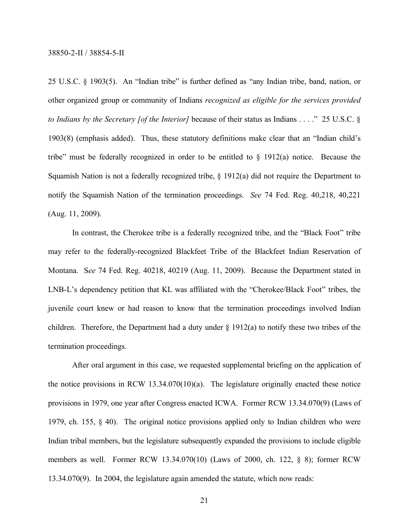25 U.S.C. § 1903(5). An "Indian tribe" is further defined as "any Indian tribe, band, nation, or other organized group or community of Indians *recognized as eligible for the services provided to Indians by the Secretary [of the Interior]* because of their status as Indians . . . ." 25 U.S.C. § 1903(8) (emphasis added). Thus, these statutory definitions make clear that an "Indian child's tribe" must be federally recognized in order to be entitled to  $\S$  1912(a) notice. Because the Squamish Nation is not a federally recognized tribe, § 1912(a) did not require the Department to notify the Squamish Nation of the termination proceedings. *See* 74 Fed. Reg. 40,218, 40,221 (Aug. 11, 2009).

In contrast, the Cherokee tribe is a federally recognized tribe, and the "Black Foot" tribe may refer to the federally-recognized Blackfeet Tribe of the Blackfeet Indian Reservation of Montana. S*ee* 74 Fed. Reg. 40218, 40219 (Aug. 11, 2009). Because the Department stated in LNB-L's dependency petition that KL was affiliated with the "Cherokee/Black Foot" tribes, the juvenile court knew or had reason to know that the termination proceedings involved Indian children. Therefore, the Department had a duty under § 1912(a) to notify these two tribes of the termination proceedings.

After oral argument in this case, we requested supplemental briefing on the application of the notice provisions in RCW 13.34.070(10)(a). The legislature originally enacted these notice provisions in 1979, one year after Congress enacted ICWA. Former RCW 13.34.070(9) (Laws of 1979, ch. 155, § 40). The original notice provisions applied only to Indian children who were Indian tribal members, but the legislature subsequently expanded the provisions to include eligible members as well. Former RCW 13.34.070(10) (Laws of 2000, ch. 122, § 8); former RCW 13.34.070(9). In 2004, the legislature again amended the statute, which now reads: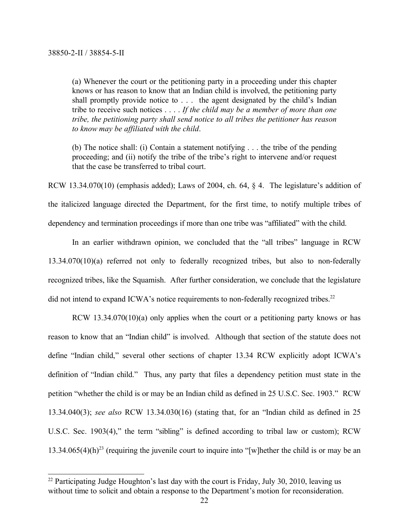(a) Whenever the court or the petitioning party in a proceeding under this chapter knows or has reason to know that an Indian child is involved, the petitioning party shall promptly provide notice to . . . the agent designated by the child's Indian tribe to receive such notices . . . . *If the child may be a member of more than one tribe, the petitioning party shall send notice to all tribes the petitioner has reason to know may be affiliated with the child*.

(b) The notice shall: (i) Contain a statement notifying . . . the tribe of the pending proceeding; and (ii) notify the tribe of the tribe's right to intervene and/or request that the case be transferred to tribal court.

RCW 13.34.070(10) (emphasis added); Laws of 2004, ch. 64, § 4. The legislature's addition of the italicized language directed the Department, for the first time, to notify multiple tribes of dependency and termination proceedings if more than one tribe was "affiliated" with the child.

In an earlier withdrawn opinion, we concluded that the "all tribes" language in RCW 13.34.070(10)(a) referred not only to federally recognized tribes, but also to non-federally recognized tribes, like the Squamish. After further consideration, we conclude that the legislature did not intend to expand ICWA's notice requirements to non-federally recognized tribes.<sup>22</sup>

RCW 13.34.070(10)(a) only applies when the court or a petitioning party knows or has reason to know that an "Indian child" is involved. Although that section of the statute does not define "Indian child," several other sections of chapter 13.34 RCW explicitly adopt ICWA's definition of "Indian child." Thus, any party that files a dependency petition must state in the petition "whether the child is or may be an Indian child as defined in 25 U.S.C. Sec. 1903." RCW 13.34.040(3); *see also* RCW 13.34.030(16) (stating that, for an "Indian child as defined in 25 U.S.C. Sec. 1903(4)," the term "sibling" is defined according to tribal law or custom); RCW 13.34.065(4)(h)<sup>23</sup> (requiring the juvenile court to inquire into "[w]hether the child is or may be an

<sup>&</sup>lt;sup>22</sup> Participating Judge Houghton's last day with the court is Friday, July 30, 2010, leaving us without time to solicit and obtain a response to the Department's motion for reconsideration.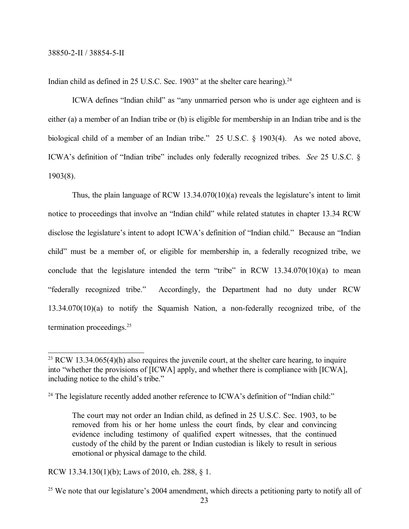Indian child as defined in  $25$  U.S.C. Sec. 1903" at the shelter care hearing).<sup>24</sup>

ICWA defines "Indian child" as "any unmarried person who is under age eighteen and is either (a) a member of an Indian tribe or (b) is eligible for membership in an Indian tribe and is the biological child of a member of an Indian tribe." 25 U.S.C. § 1903(4). As we noted above, ICWA's definition of "Indian tribe" includes only federally recognized tribes. *See* 25 U.S.C. § 1903(8).

Thus, the plain language of RCW 13.34.070(10)(a) reveals the legislature's intent to limit notice to proceedings that involve an "Indian child" while related statutes in chapter 13.34 RCW disclose the legislature's intent to adopt ICWA's definition of "Indian child." Because an "Indian child" must be a member of, or eligible for membership in, a federally recognized tribe, we conclude that the legislature intended the term "tribe" in RCW  $13.34.070(10)(a)$  to mean "federally recognized tribe." Accordingly, the Department had no duty under RCW 13.34.070(10)(a) to notify the Squamish Nation, a non-federally recognized tribe, of the termination proceedings.25

RCW 13.34.130(1)(b); Laws of 2010, ch. 288, § 1.

 $23$  RCW 13.34.065(4)(h) also requires the juvenile court, at the shelter care hearing, to inquire into "whether the provisions of [ICWA] apply, and whether there is compliance with [ICWA], including notice to the child's tribe."

<sup>&</sup>lt;sup>24</sup> The legislature recently added another reference to ICWA's definition of "Indian child:"

The court may not order an Indian child, as defined in 25 U.S.C. Sec. 1903, to be removed from his or her home unless the court finds, by clear and convincing evidence including testimony of qualified expert witnesses, that the continued custody of the child by the parent or Indian custodian is likely to result in serious emotional or physical damage to the child.

<sup>&</sup>lt;sup>25</sup> We note that our legislature's 2004 amendment, which directs a petitioning party to notify all of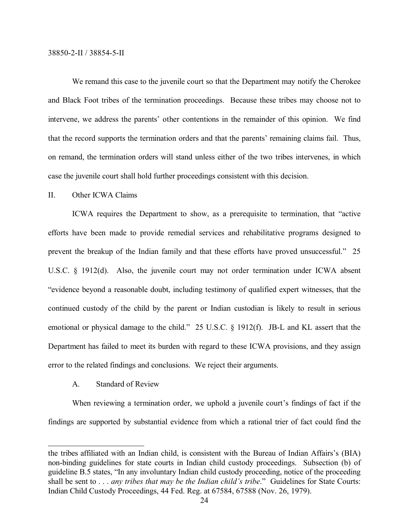We remand this case to the juvenile court so that the Department may notify the Cherokee and Black Foot tribes of the termination proceedings. Because these tribes may choose not to intervene, we address the parents' other contentions in the remainder of this opinion. We find that the record supports the termination orders and that the parents' remaining claims fail. Thus, on remand, the termination orders will stand unless either of the two tribes intervenes, in which case the juvenile court shall hold further proceedings consistent with this decision.

# II. Other ICWA Claims

ICWA requires the Department to show, as a prerequisite to termination, that "active efforts have been made to provide remedial services and rehabilitative programs designed to prevent the breakup of the Indian family and that these efforts have proved unsuccessful." 25 U.S.C. § 1912(d). Also, the juvenile court may not order termination under ICWA absent "evidence beyond a reasonable doubt, including testimony of qualified expert witnesses, that the continued custody of the child by the parent or Indian custodian is likely to result in serious emotional or physical damage to the child." 25 U.S.C. § 1912(f). JB-L and KL assert that the Department has failed to meet its burden with regard to these ICWA provisions, and they assign error to the related findings and conclusions. We reject their arguments.

# A. Standard of Review

When reviewing a termination order, we uphold a juvenile court's findings of fact if the findings are supported by substantial evidence from which a rational trier of fact could find the

the tribes affiliated with an Indian child, is consistent with the Bureau of Indian Affairs's (BIA) non-binding guidelines for state courts in Indian child custody proceedings. Subsection (b) of guideline B.5 states, "In any involuntary Indian child custody proceeding, notice of the proceeding shall be sent to . . . *any tribes that may be the Indian child's tribe*." Guidelines for State Courts: Indian Child Custody Proceedings, 44 Fed. Reg. at 67584, 67588 (Nov. 26, 1979).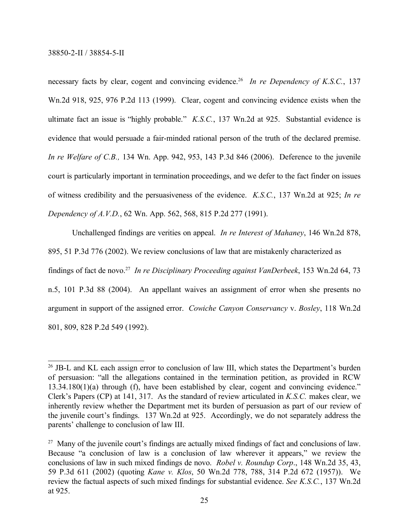necessary facts by clear, cogent and convincing evidence.<sup>26</sup> In re Dependency of K.S.C., 137 Wn.2d 918, 925, 976 P.2d 113 (1999). Clear, cogent and convincing evidence exists when the ultimate fact an issue is "highly probable." *K.S.C.*, 137 Wn.2d at 925. Substantial evidence is evidence that would persuade a fair-minded rational person of the truth of the declared premise. *In re Welfare of C.B.,* 134 Wn. App. 942, 953, 143 P.3d 846 (2006). Deference to the juvenile court is particularly important in termination proceedings, and we defer to the fact finder on issues of witness credibility and the persuasiveness of the evidence. *K.S.C.*, 137 Wn.2d at 925; *In re Dependency of A.V.D.*, 62 Wn. App. 562, 568, 815 P.2d 277 (1991).

Unchallenged findings are verities on appeal. *In re Interest of Mahaney*, 146 Wn.2d 878, 895, 51 P.3d 776 (2002). We review conclusions of law that are mistakenly characterized as findings of fact de novo.<sup>27</sup> *In re Disciplinary Proceeding against VanDerbeek*, 153 Wn.2d 64, 73 n.5, 101 P.3d 88 (2004). An appellant waives an assignment of error when she presents no argument in support of the assigned error. *Cowiche Canyon Conservancy* v. *Bosley*, 118 Wn.2d 801, 809, 828 P.2d 549 (1992).

<sup>&</sup>lt;sup>26</sup> JB-L and KL each assign error to conclusion of law III, which states the Department's burden of persuasion: "all the allegations contained in the termination petition, as provided in RCW 13.34.180(1)(a) through (f), have been established by clear, cogent and convincing evidence." Clerk's Papers (CP) at 141, 317. As the standard of review articulated in *K.S.C.* makes clear, we inherently review whether the Department met its burden of persuasion as part of our review of the juvenile court's findings. 137 Wn.2d at 925. Accordingly, we do not separately address the parents' challenge to conclusion of law III.

<sup>&</sup>lt;sup>27</sup> Many of the juvenile court's findings are actually mixed findings of fact and conclusions of law. Because "a conclusion of law is a conclusion of law wherever it appears," we review the conclusions of law in such mixed findings de novo. *Robel v. Roundup Corp*., 148 Wn.2d 35, 43, 59 P.3d 611 (2002) (quoting *Kane v. Klos*, 50 Wn.2d 778, 788, 314 P.2d 672 (1957)). We review the factual aspects of such mixed findings for substantial evidence. *See K.S.C.*, 137 Wn.2d at 925.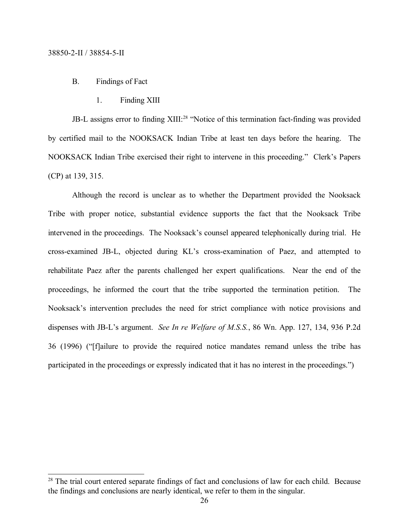#### B. Findings of Fact

1. Finding XIII

JB-L assigns error to finding XIII:<sup>28</sup> "Notice of this termination fact-finding was provided by certified mail to the NOOKSACK Indian Tribe at least ten days before the hearing. The NOOKSACK Indian Tribe exercised their right to intervene in this proceeding." Clerk's Papers (CP) at 139, 315.

Although the record is unclear as to whether the Department provided the Nooksack Tribe with proper notice, substantial evidence supports the fact that the Nooksack Tribe intervened in the proceedings. The Nooksack's counsel appeared telephonically during trial. He cross-examined JB-L, objected during KL's cross-examination of Paez, and attempted to rehabilitate Paez after the parents challenged her expert qualifications. Near the end of the proceedings, he informed the court that the tribe supported the termination petition. The Nooksack's intervention precludes the need for strict compliance with notice provisions and dispenses with JB-L's argument. *See In re Welfare of M.S.S.*, 86 Wn. App. 127, 134, 936 P.2d 36 (1996) ("[f]ailure to provide the required notice mandates remand unless the tribe has participated in the proceedings or expressly indicated that it has no interest in the proceedings.")

<sup>&</sup>lt;sup>28</sup> The trial court entered separate findings of fact and conclusions of law for each child. Because the findings and conclusions are nearly identical, we refer to them in the singular.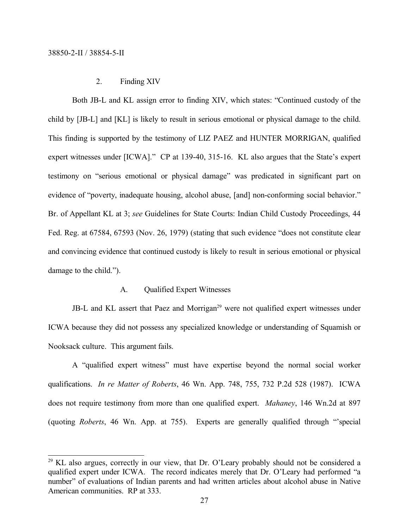# 2. Finding XIV

Both JB-L and KL assign error to finding XIV, which states: "Continued custody of the child by [JB-L] and [KL] is likely to result in serious emotional or physical damage to the child. This finding is supported by the testimony of LIZ PAEZ and HUNTER MORRIGAN, qualified expert witnesses under [ICWA]." CP at 139-40, 315-16. KL also argues that the State's expert testimony on "serious emotional or physical damage" was predicated in significant part on evidence of "poverty, inadequate housing, alcohol abuse, [and] non-conforming social behavior." Br. of Appellant KL at 3; *see* Guidelines for State Courts: Indian Child Custody Proceedings, 44 Fed. Reg. at 67584, 67593 (Nov. 26, 1979) (stating that such evidence "does not constitute clear and convincing evidence that continued custody is likely to result in serious emotional or physical damage to the child.").

#### A. Qualified Expert Witnesses

JB-L and KL assert that Paez and Morrigan<sup>29</sup> were not qualified expert witnesses under ICWA because they did not possess any specialized knowledge or understanding of Squamish or Nooksack culture. This argument fails.

A "qualified expert witness" must have expertise beyond the normal social worker qualifications. *In re Matter of Roberts*, 46 Wn. App. 748, 755, 732 P.2d 528 (1987). ICWA does not require testimony from more than one qualified expert. *Mahaney*, 146 Wn.2d at 897 (quoting *Roberts*, 46 Wn. App. at 755). Experts are generally qualified through "'special

<sup>&</sup>lt;sup>29</sup> KL also argues, correctly in our view, that Dr. O'Leary probably should not be considered a qualified expert under ICWA. The record indicates merely that Dr. O'Leary had performed "a number" of evaluations of Indian parents and had written articles about alcohol abuse in Native American communities. RP at 333.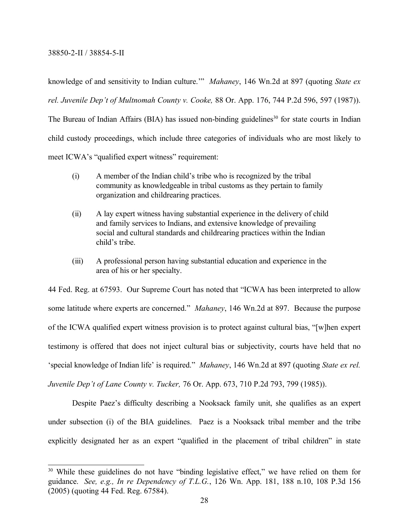knowledge of and sensitivity to Indian culture.'" *Mahaney*, 146 Wn.2d at 897 (quoting *State ex rel. Juvenile Dep't of Multnomah County v. Cooke,* 88 Or. App. 176, 744 P.2d 596, 597 (1987)). The Bureau of Indian Affairs (BIA) has issued non-binding guidelines<sup>30</sup> for state courts in Indian child custody proceedings, which include three categories of individuals who are most likely to meet ICWA's "qualified expert witness" requirement:

- (i) A member of the Indian child's tribe who is recognized by the tribal community as knowledgeable in tribal customs as they pertain to family organization and childrearing practices.
- (ii) A lay expert witness having substantial experience in the delivery of child and family services to Indians, and extensive knowledge of prevailing social and cultural standards and childrearing practices within the Indian child's tribe.
- (iii) A professional person having substantial education and experience in the area of his or her specialty.

44 Fed. Reg. at 67593. Our Supreme Court has noted that "ICWA has been interpreted to allow some latitude where experts are concerned." *Mahaney*, 146 Wn.2d at 897. Because the purpose of the ICWA qualified expert witness provision is to protect against cultural bias, "[w]hen expert testimony is offered that does not inject cultural bias or subjectivity, courts have held that no 'special knowledge of Indian life' is required." *Mahaney*, 146 Wn.2d at 897 (quoting *State ex rel. Juvenile Dep't of Lane County v. Tucker,* 76 Or. App. 673, 710 P.2d 793, 799 (1985)).

Despite Paez's difficulty describing a Nooksack family unit, she qualifies as an expert under subsection (i) of the BIA guidelines. Paez is a Nooksack tribal member and the tribe explicitly designated her as an expert "qualified in the placement of tribal children" in state

<sup>&</sup>lt;sup>30</sup> While these guidelines do not have "binding legislative effect," we have relied on them for guidance. *See, e.g., In re Dependency of T.L.G.*, 126 Wn. App. 181, 188 n.10, 108 P.3d 156 (2005) (quoting 44 Fed. Reg. 67584).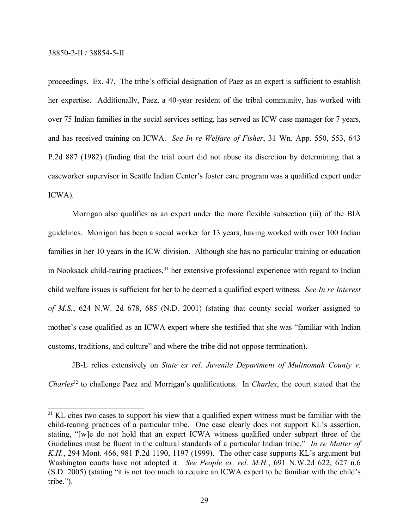proceedings. Ex. 47. The tribe's official designation of Paez as an expert is sufficient to establish her expertise. Additionally, Paez, a 40-year resident of the tribal community, has worked with over 75 Indian families in the social services setting, has served as ICW case manager for 7 years, and has received training on ICWA. *See In re Welfare of Fisher*, 31 Wn. App. 550, 553, 643 P.2d 887 (1982) (finding that the trial court did not abuse its discretion by determining that a caseworker supervisor in Seattle Indian Center's foster care program was a qualified expert under ICWA).

Morrigan also qualifies as an expert under the more flexible subsection (iii) of the BIA guidelines. Morrigan has been a social worker for 13 years, having worked with over 100 Indian families in her 10 years in the ICW division. Although she has no particular training or education in Nooksack child-rearing practices, $31$  her extensive professional experience with regard to Indian child welfare issues is sufficient for her to be deemed a qualified expert witness. *See In re Interest of M.S.*, 624 N.W. 2d 678, 685 (N.D. 2001) (stating that county social worker assigned to mother's case qualified as an ICWA expert where she testified that she was "familiar with Indian customs, traditions, and culture" and where the tribe did not oppose termination).

JB-L relies extensively on *State ex rel. Juvenile Department of Multnomah County v. Charles*<sup>32</sup> to challenge Paez and Morrigan's qualifications. In *Charles*, the court stated that the

<sup>&</sup>lt;sup>31</sup> KL cites two cases to support his view that a qualified expert witness must be familiar with the child-rearing practices of a particular tribe. One case clearly does not support KL's assertion, stating, "[w]e do not hold that an expert ICWA witness qualified under subpart three of the Guidelines must be fluent in the cultural standards of a particular Indian tribe." *In re Matter of K.H.*, 294 Mont. 466, 981 P.2d 1190, 1197 (1999). The other case supports KL's argument but Washington courts have not adopted it. *See People ex. rel. M.H.*, 691 N.W.2d 622, 627 n.6 (S.D. 2005) (stating "it is not too much to require an ICWA expert to be familiar with the child's tribe.").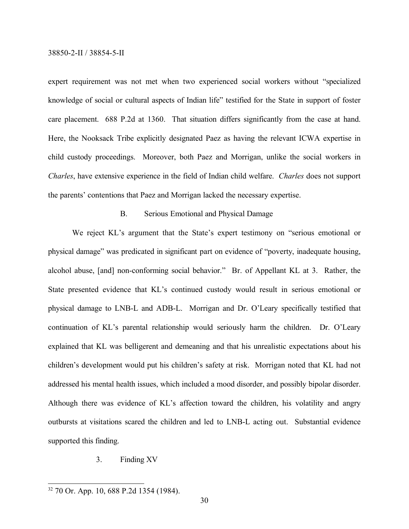expert requirement was not met when two experienced social workers without "specialized knowledge of social or cultural aspects of Indian life" testified for the State in support of foster care placement. 688 P.2d at 1360. That situation differs significantly from the case at hand. Here, the Nooksack Tribe explicitly designated Paez as having the relevant ICWA expertise in child custody proceedings. Moreover, both Paez and Morrigan, unlike the social workers in *Charles*, have extensive experience in the field of Indian child welfare. *Charles* does not support the parents' contentions that Paez and Morrigan lacked the necessary expertise.

### B. Serious Emotional and Physical Damage

We reject KL's argument that the State's expert testimony on "serious emotional or physical damage" was predicated in significant part on evidence of "poverty, inadequate housing, alcohol abuse, [and] non-conforming social behavior." Br. of Appellant KL at 3. Rather, the State presented evidence that KL's continued custody would result in serious emotional or physical damage to LNB-L and ADB-L. Morrigan and Dr. O'Leary specifically testified that continuation of KL's parental relationship would seriously harm the children. Dr. O'Leary explained that KL was belligerent and demeaning and that his unrealistic expectations about his children's development would put his children's safety at risk. Morrigan noted that KL had not addressed his mental health issues, which included a mood disorder, and possibly bipolar disorder. Although there was evidence of KL's affection toward the children, his volatility and angry outbursts at visitations scared the children and led to LNB-L acting out. Substantial evidence supported this finding.

### 3. Finding XV

<sup>32</sup> 70 Or. App. 10, 688 P.2d 1354 (1984).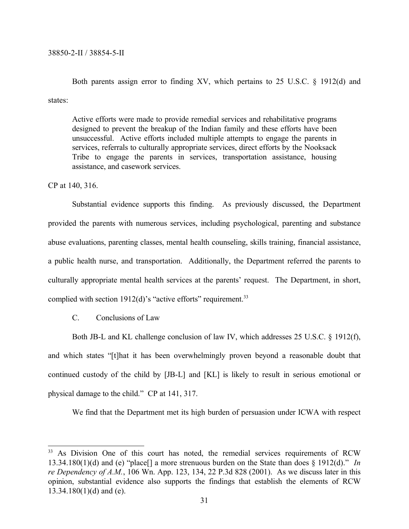Both parents assign error to finding XV, which pertains to 25 U.S.C. § 1912(d) and states:

Active efforts were made to provide remedial services and rehabilitative programs designed to prevent the breakup of the Indian family and these efforts have been unsuccessful. Active efforts included multiple attempts to engage the parents in services, referrals to culturally appropriate services, direct efforts by the Nooksack Tribe to engage the parents in services, transportation assistance, housing assistance, and casework services.

CP at 140, 316.

Substantial evidence supports this finding. As previously discussed, the Department provided the parents with numerous services, including psychological, parenting and substance abuse evaluations, parenting classes, mental health counseling, skills training, financial assistance, a public health nurse, and transportation. Additionally, the Department referred the parents to culturally appropriate mental health services at the parents' request. The Department, in short, complied with section  $1912(d)$ 's "active efforts" requirement.<sup>33</sup>

C. Conclusions of Law

Both JB-L and KL challenge conclusion of law IV, which addresses 25 U.S.C. § 1912(f), and which states "[t]hat it has been overwhelmingly proven beyond a reasonable doubt that continued custody of the child by [JB-L] and [KL] is likely to result in serious emotional or physical damage to the child." CP at 141, 317.

We find that the Department met its high burden of persuasion under ICWA with respect

<sup>&</sup>lt;sup>33</sup> As Division One of this court has noted, the remedial services requirements of RCW 13.34.180(1)(d) and (e) "place[] a more strenuous burden on the State than does § 1912(d)." *In re Dependency of A.M.*, 106 Wn. App. 123, 134, 22 P.3d 828 (2001). As we discuss later in this opinion, substantial evidence also supports the findings that establish the elements of RCW  $13.34.180(1)(d)$  and (e).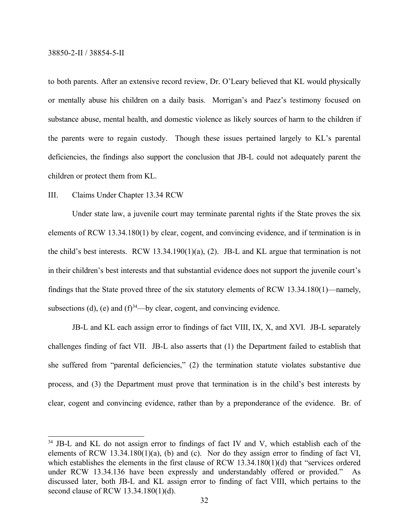to both parents. After an extensive record review, Dr. O'Leary believed that KL would physically or mentally abuse his children on a daily basis. Morrigan's and Paez's testimony focused on substance abuse, mental health, and domestic violence as likely sources of harm to the children if the parents were to regain custody. Though these issues pertained largely to KL's parental deficiencies, the findings also support the conclusion that JB-L could not adequately parent the children or protect them from KL.

# III. Claims Under Chapter 13.34 RCW

Under state law, a juvenile court may terminate parental rights if the State proves the six elements of RCW 13.34.180(1) by clear, cogent, and convincing evidence, and if termination is in the child's best interests. RCW 13.34.190(1)(a), (2). JB-L and KL argue that termination is not in their children's best interests and that substantial evidence does not support the juvenile court's findings that the State proved three of the six statutory elements of RCW 13.34.180(1)—namely, subsections (d), (e) and  $(f)^{34}$ —by clear, cogent, and convincing evidence.

JB-L and KL each assign error to findings of fact VIII, IX, X, and XVI. JB-L separately challenges finding of fact VII. JB-L also asserts that (1) the Department failed to establish that she suffered from "parental deficiencies," (2) the termination statute violates substantive due process, and (3) the Department must prove that termination is in the child's best interests by clear, cogent and convincing evidence, rather than by a preponderance of the evidence. Br. of

<sup>&</sup>lt;sup>34</sup> JB-L and KL do not assign error to findings of fact IV and V, which establish each of the elements of RCW 13.34.180(1)(a), (b) and (c). Nor do they assign error to finding of fact VI, which establishes the elements in the first clause of RCW 13.34.180(1)(d) that "services ordered under RCW 13.34.136 have been expressly and understandably offered or provided." As discussed later, both JB-L and KL assign error to finding of fact VIII, which pertains to the second clause of RCW 13.34.180(1)(d).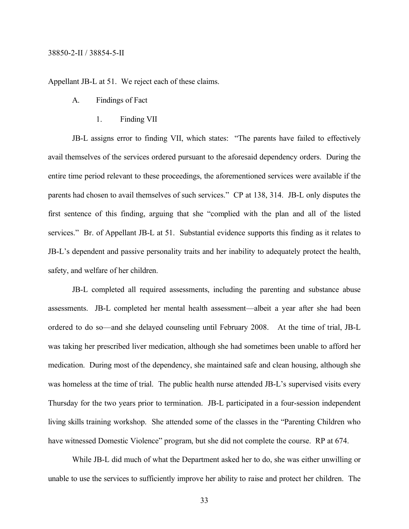Appellant JB-L at 51. We reject each of these claims.

- A. Findings of Fact
	- 1. Finding VII

JB-L assigns error to finding VII, which states: "The parents have failed to effectively avail themselves of the services ordered pursuant to the aforesaid dependency orders. During the entire time period relevant to these proceedings, the aforementioned services were available if the parents had chosen to avail themselves of such services." CP at 138, 314. JB-L only disputes the first sentence of this finding, arguing that she "complied with the plan and all of the listed services." Br. of Appellant JB-L at 51. Substantial evidence supports this finding as it relates to JB-L's dependent and passive personality traits and her inability to adequately protect the health, safety, and welfare of her children.

JB-L completed all required assessments, including the parenting and substance abuse assessments. JB-L completed her mental health assessment—albeit a year after she had been ordered to do so—and she delayed counseling until February 2008. At the time of trial, JB-L was taking her prescribed liver medication, although she had sometimes been unable to afford her medication. During most of the dependency, she maintained safe and clean housing, although she was homeless at the time of trial. The public health nurse attended JB-L's supervised visits every Thursday for the two years prior to termination. JB-L participated in a four-session independent living skills training workshop. She attended some of the classes in the "Parenting Children who have witnessed Domestic Violence" program, but she did not complete the course. RP at 674.

While JB-L did much of what the Department asked her to do, she was either unwilling or unable to use the services to sufficiently improve her ability to raise and protect her children. The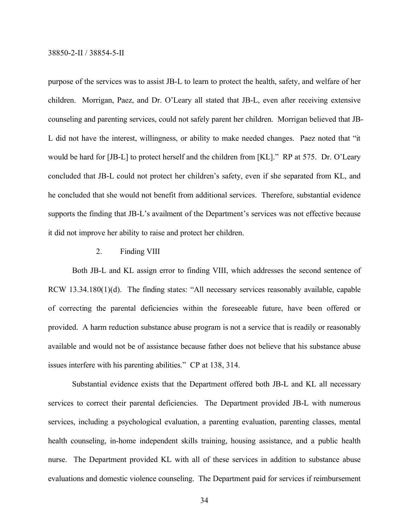purpose of the services was to assist JB-L to learn to protect the health, safety, and welfare of her children. Morrigan, Paez, and Dr. O'Leary all stated that JB-L, even after receiving extensive counseling and parenting services, could not safely parent her children. Morrigan believed that JB-L did not have the interest, willingness, or ability to make needed changes. Paez noted that "it would be hard for [JB-L] to protect herself and the children from [KL]." RP at 575. Dr. O'Leary concluded that JB-L could not protect her children's safety, even if she separated from KL, and he concluded that she would not benefit from additional services. Therefore, substantial evidence supports the finding that JB-L's availment of the Department's services was not effective because it did not improve her ability to raise and protect her children.

#### 2. Finding VIII

Both JB-L and KL assign error to finding VIII, which addresses the second sentence of RCW 13.34.180(1)(d). The finding states: "All necessary services reasonably available, capable of correcting the parental deficiencies within the foreseeable future, have been offered or provided. A harm reduction substance abuse program is not a service that is readily or reasonably available and would not be of assistance because father does not believe that his substance abuse issues interfere with his parenting abilities." CP at 138, 314.

Substantial evidence exists that the Department offered both JB-L and KL all necessary services to correct their parental deficiencies. The Department provided JB-L with numerous services, including a psychological evaluation, a parenting evaluation, parenting classes, mental health counseling, in-home independent skills training, housing assistance, and a public health nurse. The Department provided KL with all of these services in addition to substance abuse evaluations and domestic violence counseling. The Department paid for services if reimbursement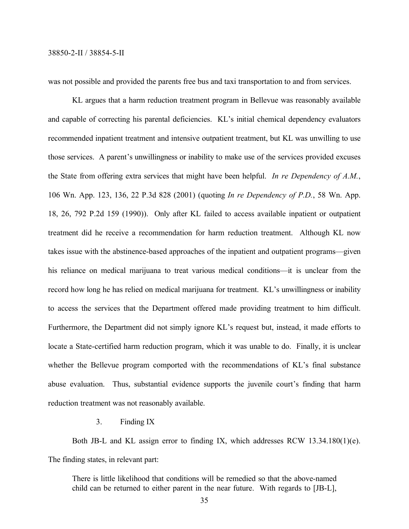was not possible and provided the parents free bus and taxi transportation to and from services.

KL argues that a harm reduction treatment program in Bellevue was reasonably available and capable of correcting his parental deficiencies. KL's initial chemical dependency evaluators recommended inpatient treatment and intensive outpatient treatment, but KL was unwilling to use those services. A parent's unwillingness or inability to make use of the services provided excuses the State from offering extra services that might have been helpful. *In re Dependency of A.M.*, 106 Wn. App. 123, 136, 22 P.3d 828 (2001) (quoting *In re Dependency of P.D.*, 58 Wn. App. 18, 26, 792 P.2d 159 (1990)). Only after KL failed to access available inpatient or outpatient treatment did he receive a recommendation for harm reduction treatment. Although KL now takes issue with the abstinence-based approaches of the inpatient and outpatient programs—given his reliance on medical marijuana to treat various medical conditions—it is unclear from the record how long he has relied on medical marijuana for treatment. KL's unwillingness or inability to access the services that the Department offered made providing treatment to him difficult. Furthermore, the Department did not simply ignore KL's request but, instead, it made efforts to locate a State-certified harm reduction program, which it was unable to do. Finally, it is unclear whether the Bellevue program comported with the recommendations of KL's final substance abuse evaluation. Thus, substantial evidence supports the juvenile court's finding that harm reduction treatment was not reasonably available.

3. Finding IX

Both JB-L and KL assign error to finding IX, which addresses RCW 13.34.180(1)(e). The finding states, in relevant part:

There is little likelihood that conditions will be remedied so that the above-named child can be returned to either parent in the near future. With regards to [JB-L],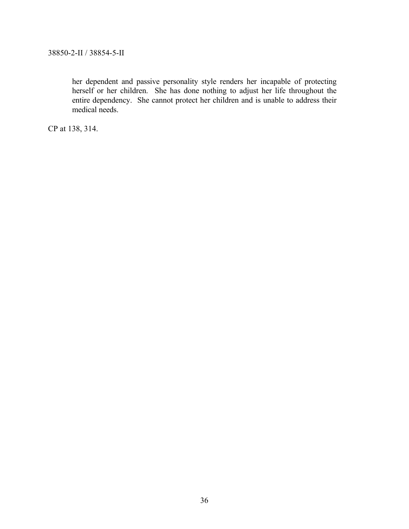her dependent and passive personality style renders her incapable of protecting herself or her children. She has done nothing to adjust her life throughout the entire dependency. She cannot protect her children and is unable to address their medical needs.

CP at 138, 314.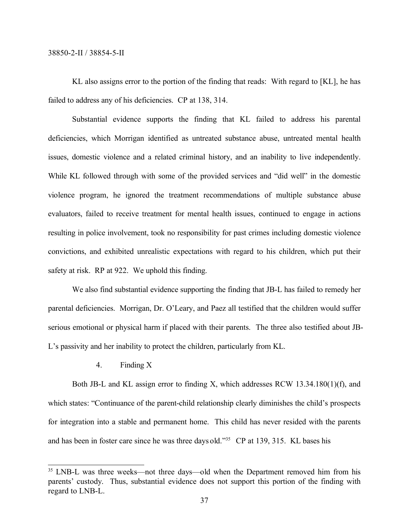KL also assigns error to the portion of the finding that reads: With regard to [KL], he has failed to address any of his deficiencies. CP at 138, 314.

Substantial evidence supports the finding that KL failed to address his parental deficiencies, which Morrigan identified as untreated substance abuse, untreated mental health issues, domestic violence and a related criminal history, and an inability to live independently. While KL followed through with some of the provided services and "did well" in the domestic violence program, he ignored the treatment recommendations of multiple substance abuse evaluators, failed to receive treatment for mental health issues, continued to engage in actions resulting in police involvement, took no responsibility for past crimes including domestic violence convictions, and exhibited unrealistic expectations with regard to his children, which put their safety at risk. RP at 922. We uphold this finding.

We also find substantial evidence supporting the finding that JB-L has failed to remedy her parental deficiencies. Morrigan, Dr. O'Leary, and Paez all testified that the children would suffer serious emotional or physical harm if placed with their parents. The three also testified about JB-L's passivity and her inability to protect the children, particularly from KL.

# 4. Finding X

Both JB-L and KL assign error to finding X, which addresses RCW 13.34.180(1)(f), and which states: "Continuance of the parent-child relationship clearly diminishes the child's prospects for integration into a stable and permanent home. This child has never resided with the parents and has been in foster care since he was three days old." <sup>35</sup> CP at 139, 315. KL bases his

<sup>&</sup>lt;sup>35</sup> LNB-L was three weeks—not three days—old when the Department removed him from his parents' custody. Thus, substantial evidence does not support this portion of the finding with regard to LNB-L.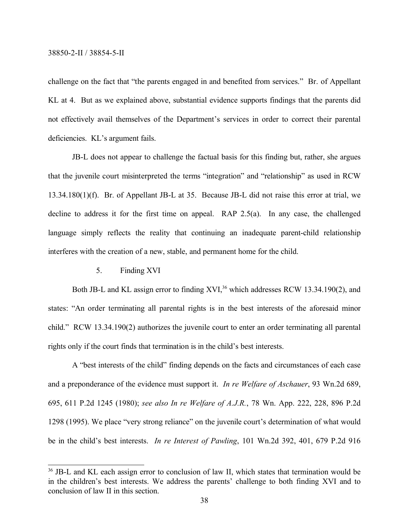challenge on the fact that "the parents engaged in and benefited from services." Br. of Appellant KL at 4. But as we explained above, substantial evidence supports findings that the parents did not effectively avail themselves of the Department's services in order to correct their parental deficiencies. KL's argument fails.

JB-L does not appear to challenge the factual basis for this finding but, rather, she argues that the juvenile court misinterpreted the terms "integration" and "relationship" as used in RCW 13.34.180(1)(f). Br. of Appellant JB-L at 35. Because JB-L did not raise this error at trial, we decline to address it for the first time on appeal. RAP 2.5(a). In any case, the challenged language simply reflects the reality that continuing an inadequate parent-child relationship interferes with the creation of a new, stable, and permanent home for the child.

5. Finding XVI

Both JB-L and KL assign error to finding XVI,<sup>36</sup> which addresses RCW 13.34.190(2), and states: "An order terminating all parental rights is in the best interests of the aforesaid minor child." RCW 13.34.190(2) authorizes the juvenile court to enter an order terminating all parental rights only if the court finds that termination is in the child's best interests.

A "best interests of the child" finding depends on the facts and circumstances of each case and a preponderance of the evidence must support it. *In re Welfare of Aschauer*, 93 Wn.2d 689, 695, 611 P.2d 1245 (1980); *see also In re Welfare of A.J.R.*, 78 Wn. App. 222, 228, 896 P.2d 1298 (1995). We place "very strong reliance" on the juvenile court's determination of what would be in the child's best interests. *In re Interest of Pawling*, 101 Wn.2d 392, 401, 679 P.2d 916

<sup>&</sup>lt;sup>36</sup> JB-L and KL each assign error to conclusion of law II, which states that termination would be in the children's best interests. We address the parents' challenge to both finding XVI and to conclusion of law II in this section.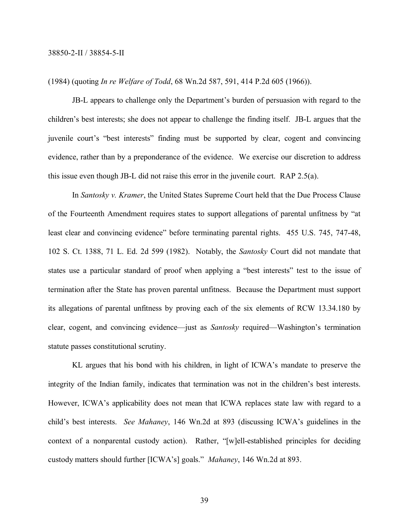(1984) (quoting *In re Welfare of Todd*, 68 Wn.2d 587, 591, 414 P.2d 605 (1966)).

JB-L appears to challenge only the Department's burden of persuasion with regard to the children's best interests; she does not appear to challenge the finding itself. JB-L argues that the juvenile court's "best interests" finding must be supported by clear, cogent and convincing evidence, rather than by a preponderance of the evidence. We exercise our discretion to address this issue even though JB-L did not raise this error in the juvenile court. RAP 2.5(a).

In *Santosky v. Kramer*, the United States Supreme Court held that the Due Process Clause of the Fourteenth Amendment requires states to support allegations of parental unfitness by "at least clear and convincing evidence" before terminating parental rights. 455 U.S. 745, 747-48, 102 S. Ct. 1388, 71 L. Ed. 2d 599 (1982). Notably, the *Santosky* Court did not mandate that states use a particular standard of proof when applying a "best interests" test to the issue of termination after the State has proven parental unfitness. Because the Department must support its allegations of parental unfitness by proving each of the six elements of RCW 13.34.180 by clear, cogent, and convincing evidence—just as *Santosky* required—Washington's termination statute passes constitutional scrutiny.

KL argues that his bond with his children, in light of ICWA's mandate to preserve the integrity of the Indian family, indicates that termination was not in the children's best interests. However, ICWA's applicability does not mean that ICWA replaces state law with regard to a child's best interests. *See Mahaney*, 146 Wn.2d at 893 (discussing ICWA's guidelines in the context of a nonparental custody action). Rather, "[w]ell-established principles for deciding custody matters should further [ICWA's] goals." *Mahaney*, 146 Wn.2d at 893.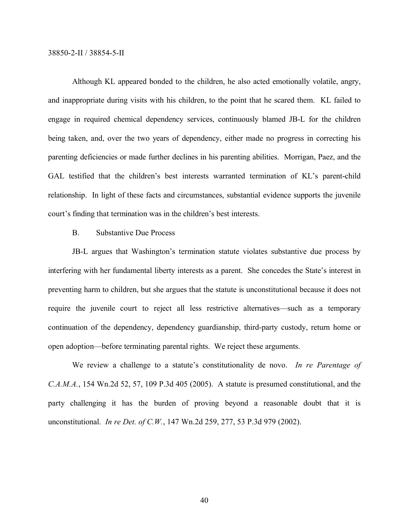Although KL appeared bonded to the children, he also acted emotionally volatile, angry, and inappropriate during visits with his children, to the point that he scared them. KL failed to engage in required chemical dependency services, continuously blamed JB-L for the children being taken, and, over the two years of dependency, either made no progress in correcting his parenting deficiencies or made further declines in his parenting abilities. Morrigan, Paez, and the GAL testified that the children's best interests warranted termination of KL's parent-child relationship. In light of these facts and circumstances, substantial evidence supports the juvenile court's finding that termination was in the children's best interests.

# B. Substantive Due Process

JB-L argues that Washington's termination statute violates substantive due process by interfering with her fundamental liberty interests as a parent. She concedes the State's interest in preventing harm to children, but she argues that the statute is unconstitutional because it does not require the juvenile court to reject all less restrictive alternatives—such as a temporary continuation of the dependency, dependency guardianship, third-party custody, return home or open adoption—before terminating parental rights. We reject these arguments.

We review a challenge to a statute's constitutionality de novo. *In re Parentage of C.A.M.A.*, 154 Wn.2d 52, 57, 109 P.3d 405 (2005). A statute is presumed constitutional, and the party challenging it has the burden of proving beyond a reasonable doubt that it is unconstitutional. *In re Det. of C.W.*, 147 Wn.2d 259, 277, 53 P.3d 979 (2002).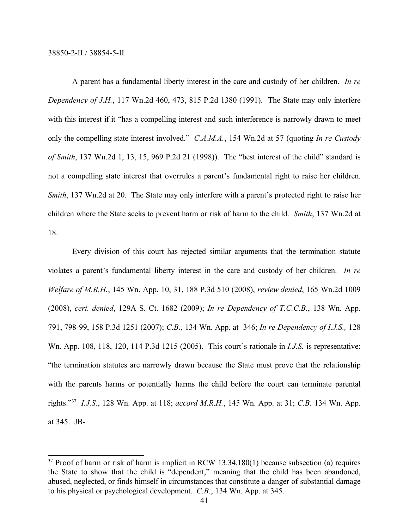A parent has a fundamental liberty interest in the care and custody of her children. *In re Dependency of J.H.*, 117 Wn.2d 460, 473, 815 P.2d 1380 (1991). The State may only interfere with this interest if it "has a compelling interest and such interference is narrowly drawn to meet only the compelling state interest involved." *C.A.M.A.*, 154 Wn.2d at 57 (quoting *In re Custody of Smith*, 137 Wn.2d 1, 13, 15, 969 P.2d 21 (1998)). The "best interest of the child" standard is not a compelling state interest that overrules a parent's fundamental right to raise her children. *Smith*, 137 Wn.2d at 20. The State may only interfere with a parent's protected right to raise her children where the State seeks to prevent harm or risk of harm to the child. *Smith*, 137 Wn.2d at 18.

Every division of this court has rejected similar arguments that the termination statute violates a parent's fundamental liberty interest in the care and custody of her children. *In re Welfare of M.R.H.*, 145 Wn. App. 10, 31, 188 P.3d 510 (2008), *review denied*, 165 Wn.2d 1009 (2008), *cert. denied*, 129A S. Ct. 1682 (2009); *In re Dependency of T.C.C.B.*, 138 Wn. App. 791, 798-99, 158 P.3d 1251 (2007); *C.B.*, 134 Wn. App. at 346; *In re Dependency of I.J.S.,* 128 Wn. App. 108, 118, 120, 114 P.3d 1215 (2005). This court's rationale in *I.J.S.* is representative: "the termination statutes are narrowly drawn because the State must prove that the relationship with the parents harms or potentially harms the child before the court can terminate parental rights." <sup>37</sup> *I.J.S.*, 128 Wn. App. at 118; *accord M.R.H.*, 145 Wn. App. at 31; *C.B.* 134 Wn. App. at 345. JB-

<sup>&</sup>lt;sup>37</sup> Proof of harm or risk of harm is implicit in RCW 13.34.180(1) because subsection (a) requires the State to show that the child is "dependent," meaning that the child has been abandoned, abused, neglected, or finds himself in circumstances that constitute a danger of substantial damage to his physical or psychological development. *C.B.*, 134 Wn. App. at 345.